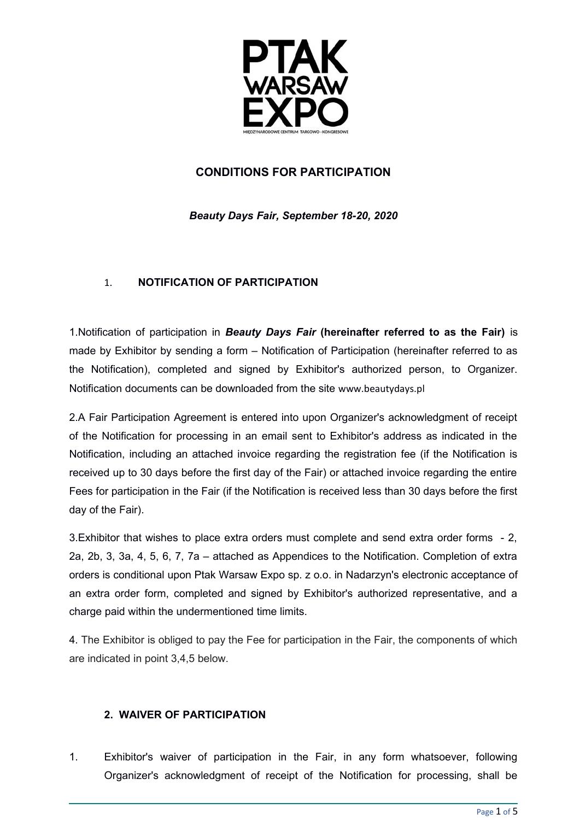

## **CONDITIONS FOR PARTICIPATION**

*Beauty Days Fair, September 18-20, 2020*

## 1. **NOTIFICATION OF PARTICIPATION**

1.Notification of participation in *Beauty Days Fair* **(hereinafter referred to as the Fair)** is made by Exhibitor by sending a form – Notification of Participation (hereinafter referred to as the Notification), completed and signed by Exhibitor's authorized person, to Organizer. Notification documents can be downloaded from the site www.beautydays.pl

2.A Fair Participation Agreement is entered into upon Organizer's acknowledgment of receipt of the Notification for processing in an email sent to Exhibitor's address as indicated in the Notification, including an attached invoice regarding the registration fee (if the Notification is received up to 30 days before the first day of the Fair) or attached invoice regarding the entire Fees for participation in the Fair (if the Notification is received less than 30 days before the first day of the Fair).

3.Exhibitor that wishes to place extra orders must complete and send extra order forms - 2, 2a, 2b, 3, 3a, 4, 5, 6, 7, 7a – attached as Appendices to the Notification. Completion of extra orders is conditional upon Ptak Warsaw Expo sp. z o.o. in Nadarzyn's electronic acceptance of an extra order form, completed and signed by Exhibitor's authorized representative, and a charge paid within the undermentioned time limits.

4. The Exhibitor is obliged to pay the Fee for participation in the Fair, the components of which are indicated in point 3,4,5 below.

## **2. WAIVER OF PARTICIPATION**

1. Exhibitor's waiver of participation in the Fair, in any form whatsoever, following Organizer's acknowledgment of receipt of the Notification for processing, shall be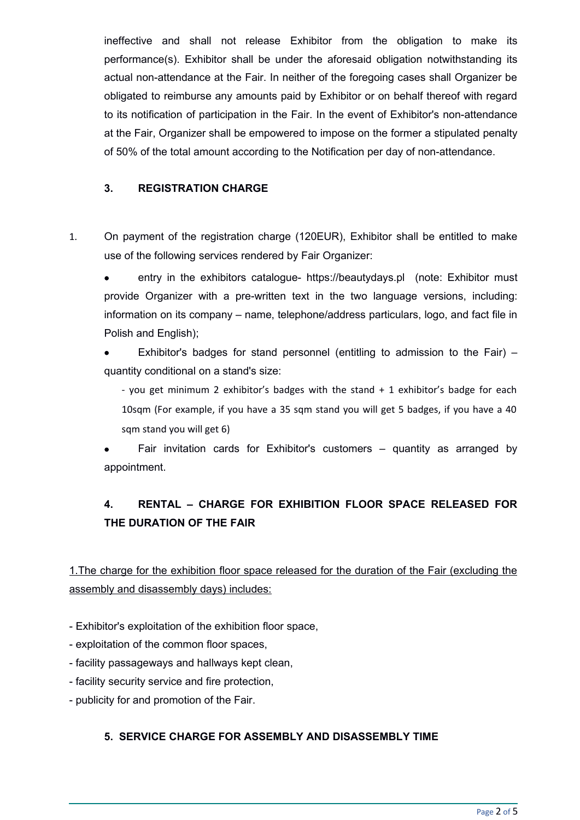ineffective and shall not release Exhibitor from the obligation to make its performance(s). Exhibitor shall be under the aforesaid obligation notwithstanding its actual non-attendance at the Fair. In neither of the foregoing cases shall Organizer be obligated to reimburse any amounts paid by Exhibitor or on behalf thereof with regard to its notification of participation in the Fair. In the event of Exhibitor's non-attendance at the Fair, Organizer shall be empowered to impose on the former a stipulated penalty of 50% of the total amount according to the Notification per day of non-attendance.

## **3. REGISTRATION CHARGE**

1. On payment of the registration charge (120EUR), Exhibitor shall be entitled to make use of the following services rendered by Fair Organizer:

entry in the exhibitors catalogue- https://beautydays.pl (note: Exhibitor must provide Organizer with a pre-written text in the two language versions, including: information on its company – name, telephone/address particulars, logo, and fact file in Polish and English);

Exhibitor's badges for stand personnel (entitling to admission to the Fair)  $$ quantity conditional on a stand's size:

- you get minimum 2 exhibitor's badges with the stand + 1 exhibitor's badge for each 10sqm (For example, if you have a 35 sqm stand you will get 5 badges, if you have a 40 sqm stand you will get 6)

Fair invitation cards for Exhibitor's customers  $-$  quantity as arranged by appointment.

# **4. RENTAL – CHARGE FOR EXHIBITION FLOOR SPACE RELEASED FOR THE DURATION OF THE FAIR**

1. The charge for the exhibition floor space released for the duration of the Fair (excluding the assembly and disassembly days) includes:

- Exhibitor's exploitation of the exhibition floor space,
- exploitation of the common floor spaces,
- facility passageways and hallways kept clean,
- facility security service and fire protection,
- publicity for and promotion of the Fair.

## **5. SERVICE CHARGE FOR ASSEMBLY AND DISASSEMBLY TIME**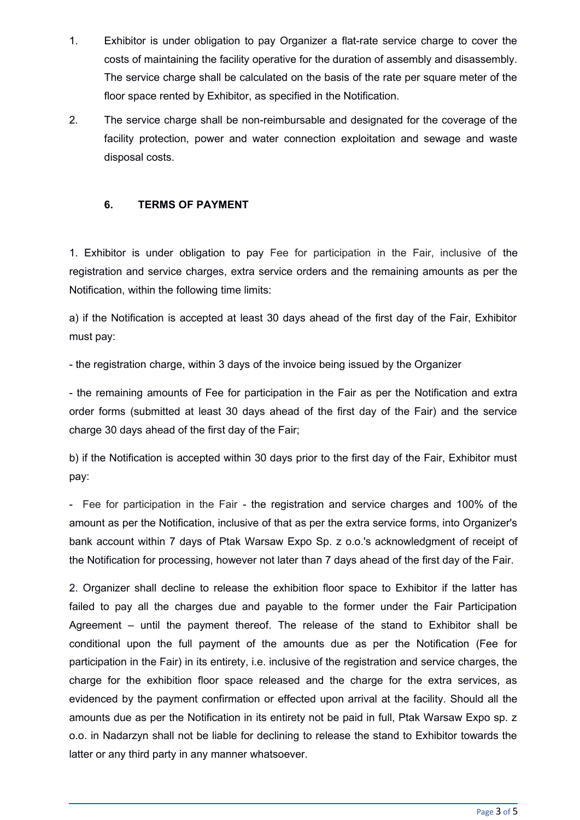- 1. Exhibitor is under obligation to pay Organizer a flat-rate service charge to cover the costs of maintaining the facility operative for the duration of assembly and disassembly. The service charge shall be calculated on the basis of the rate per square meter of the floor space rented by Exhibitor, as specified in the Notification.
- 2. The service charge shall be non-reimbursable and designated for the coverage of the facility protection, power and water connection exploitation and sewage and waste disposal costs.

#### **6. TERMS OF PAYMENT**

1. Exhibitor is under obligation to pay Fee for participation in the Fair, inclusive of the registration and service charges, extra service orders and the remaining amounts as per the Notification, within the following time limits:

a) if the Notification is accepted at least 30 days ahead of the first day of the Fair, Exhibitor must pay:

- the registration charge, within 3 days of the invoice being issued by the Organizer

- the remaining amounts of Fee for participation in the Fair as per the Notification and extra order forms (submitted at least 30 days ahead of the first day of the Fair) and the service charge 30 days ahead of the first day of the Fair;

b) if the Notification is accepted within 30 days prior to the first day of the Fair, Exhibitor must pay:

- Fee for participation in the Fair - the registration and service charges and 100% of the amount as per the Notification, inclusive of that as per the extra service forms, into Organizer's bank account within 7 days of Ptak Warsaw Expo Sp. z o.o.'s acknowledgment of receipt of the Notification for processing, however not later than 7 days ahead of the first day of the Fair.

2. Organizer shall decline to release the exhibition floor space to Exhibitor if the latter has failed to pay all the charges due and payable to the former under the Fair Participation Agreement – until the payment thereof. The release of the stand to Exhibitor shall be conditional upon the full payment of the amounts due as per the Notification (Fee for participation in the Fair) in its entirety, i.e. inclusive of the registration and service charges, the charge for the exhibition floor space released and the charge for the extra services, as evidenced by the payment confirmation or effected upon arrival at the facility. Should all the amounts due as per the Notification in its entirety not be paid in full, Ptak Warsaw Expo sp. z o.o. in Nadarzyn shall not be liable for declining to release the stand to Exhibitor towards the latter or any third party in any manner whatsoever.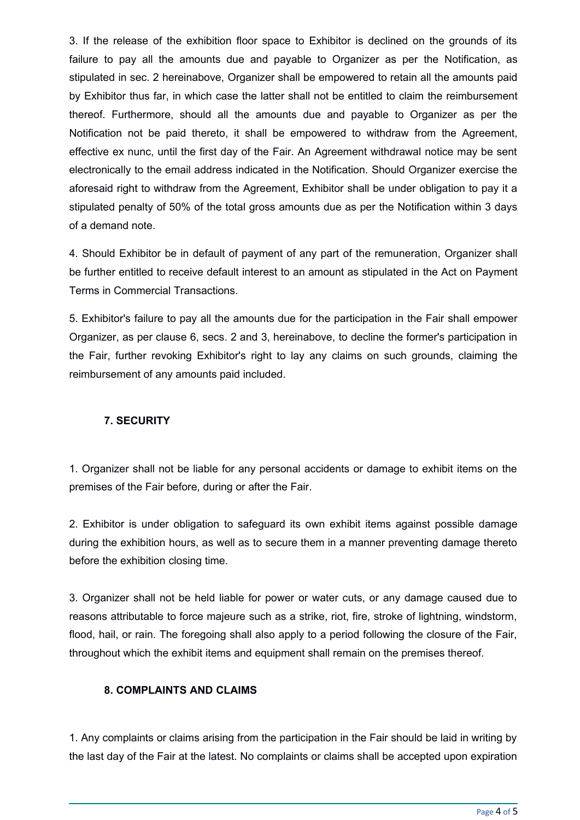3. If the release of the exhibition floor space to Exhibitor is declined on the grounds of its failure to pay all the amounts due and payable to Organizer as per the Notification, as stipulated in sec. 2 hereinabove, Organizer shall be empowered to retain all the amounts paid by Exhibitor thus far, in which case the latter shall not be entitled to claim the reimbursement thereof. Furthermore, should all the amounts due and payable to Organizer as per the Notification not be paid thereto, it shall be empowered to withdraw from the Agreement, effective ex nunc, until the first day of the Fair. An Agreement withdrawal notice may be sent electronically to the email address indicated in the Notification. Should Organizer exercise the aforesaid right to withdraw from the Agreement, Exhibitor shall be under obligation to pay it a stipulated penalty of 50% of the total gross amounts due as per the Notification within 3 days of a demand note.

4. Should Exhibitor be in default of payment of any part of the remuneration, Organizer shall be further entitled to receive default interest to an amount as stipulated in the Act on Payment Terms in Commercial Transactions.

5. Exhibitor's failure to pay all the amounts due for the participation in the Fair shall empower Organizer, as per clause 6, secs. 2 and 3, hereinabove, to decline the former's participation in the Fair, further revoking Exhibitor's right to lay any claims on such grounds, claiming the reimbursement of any amounts paid included.

## **7. SECURITY**

1. Organizer shall not be liable for any personal accidents or damage to exhibit items on the premises of the Fair before, during or after the Fair.

2. Exhibitor is under obligation to safeguard its own exhibit items against possible damage during the exhibition hours, as well as to secure them in a manner preventing damage thereto before the exhibition closing time.

3. Organizer shall not be held liable for power or water cuts, or any damage caused due to reasons attributable to force majeure such as a strike, riot, fire, stroke of lightning, windstorm, flood, hail, or rain. The foregoing shall also apply to a period following the closure of the Fair, throughout which the exhibit items and equipment shall remain on the premises thereof.

## **8. COMPLAINTS AND CLAIMS**

1. Any complaints or claims arising from the participation in the Fair should be laid in writing by the last day of the Fair at the latest. No complaints or claims shall be accepted upon expiration